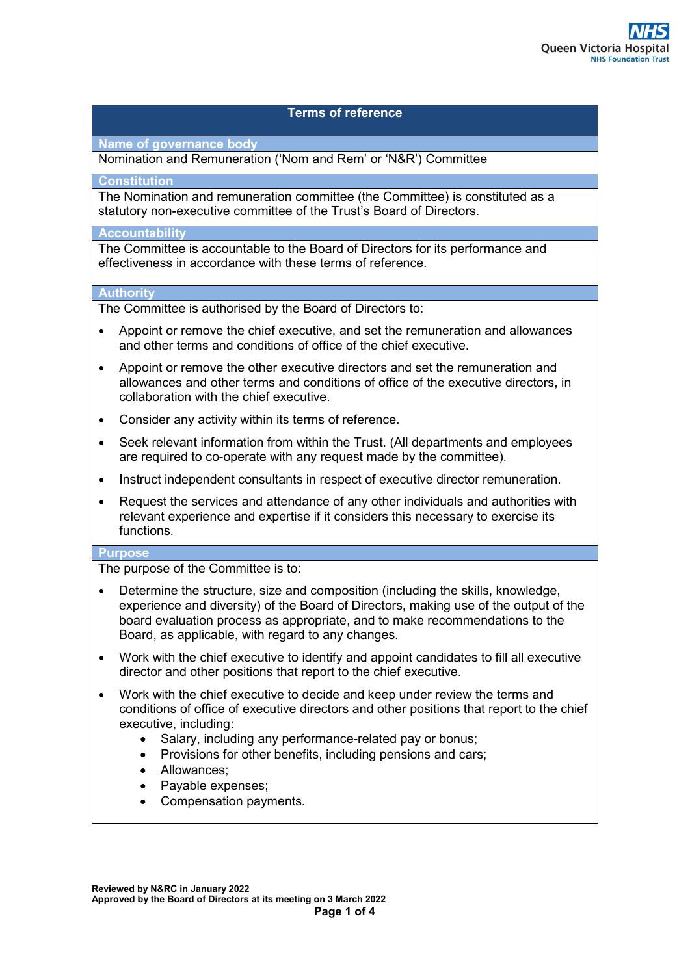### **Terms of reference**

**Name of governance body** 

Nomination and Remuneration ('Nom and Rem' or 'N&R') Committee

**Constitution** 

The Nomination and remuneration committee (the Committee) is constituted as a statutory non-executive committee of the Trust's Board of Directors.

#### **Accountability**

The Committee is accountable to the Board of Directors for its performance and effectiveness in accordance with these terms of reference.

### **Authority**

The Committee is authorised by the Board of Directors to:

- Appoint or remove the chief executive, and set the remuneration and allowances and other terms and conditions of office of the chief executive.
- Appoint or remove the other executive directors and set the remuneration and allowances and other terms and conditions of office of the executive directors, in collaboration with the chief executive.
- Consider any activity within its terms of reference.
- Seek relevant information from within the Trust. (All departments and employees are required to co-operate with any request made by the committee).
- Instruct independent consultants in respect of executive director remuneration.
- Request the services and attendance of any other individuals and authorities with relevant experience and expertise if it considers this necessary to exercise its functions.

#### **Purpose**

The purpose of the Committee is to:

- Determine the structure, size and composition (including the skills, knowledge, experience and diversity) of the Board of Directors, making use of the output of the board evaluation process as appropriate, and to make recommendations to the Board, as applicable, with regard to any changes.
- Work with the chief executive to identify and appoint candidates to fill all executive director and other positions that report to the chief executive.
- Work with the chief executive to decide and keep under review the terms and conditions of office of executive directors and other positions that report to the chief executive, including:
	- Salary, including any performance-related pay or bonus;
	- Provisions for other benefits, including pensions and cars;
	- Allowances:
	- Payable expenses;
	- Compensation payments.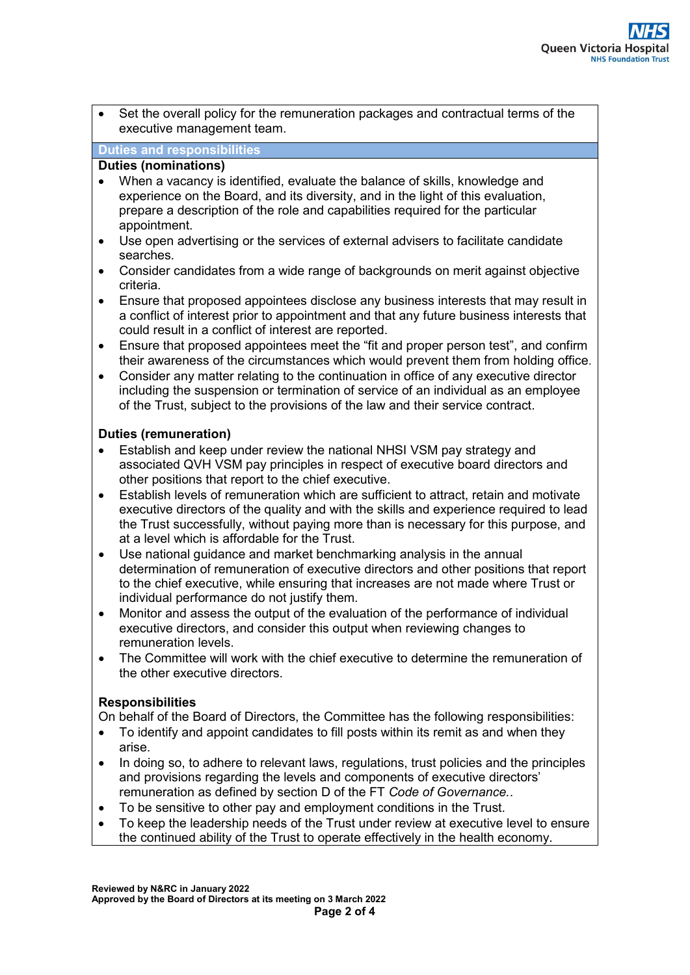• Set the overall policy for the remuneration packages and contractual terms of the executive management team.

### **Duties and responsibilities**

### **Duties (nominations)**

- When a vacancy is identified, evaluate the balance of skills, knowledge and experience on the Board, and its diversity, and in the light of this evaluation, prepare a description of the role and capabilities required for the particular appointment.
- Use open advertising or the services of external advisers to facilitate candidate searches.
- Consider candidates from a wide range of backgrounds on merit against objective criteria.
- Ensure that proposed appointees disclose any business interests that may result in a conflict of interest prior to appointment and that any future business interests that could result in a conflict of interest are reported.
- Ensure that proposed appointees meet the "fit and proper person test", and confirm their awareness of the circumstances which would prevent them from holding office.
- Consider any matter relating to the continuation in office of any executive director including the suspension or termination of service of an individual as an employee of the Trust, subject to the provisions of the law and their service contract.

# **Duties (remuneration)**

- Establish and keep under review the national NHSI VSM pay strategy and associated QVH VSM pay principles in respect of executive board directors and other positions that report to the chief executive.
- Establish levels of remuneration which are sufficient to attract, retain and motivate executive directors of the quality and with the skills and experience required to lead the Trust successfully, without paying more than is necessary for this purpose, and at a level which is affordable for the Trust.
- Use national guidance and market benchmarking analysis in the annual determination of remuneration of executive directors and other positions that report to the chief executive, while ensuring that increases are not made where Trust or individual performance do not justify them.
- Monitor and assess the output of the evaluation of the performance of individual executive directors, and consider this output when reviewing changes to remuneration levels.
- The Committee will work with the chief executive to determine the remuneration of the other executive directors.

# **Responsibilities**

On behalf of the Board of Directors, the Committee has the following responsibilities:

- To identify and appoint candidates to fill posts within its remit as and when they arise.
- In doing so, to adhere to relevant laws, regulations, trust policies and the principles and provisions regarding the levels and components of executive directors' remuneration as defined by section D of the FT *Code of Governance.*.
- To be sensitive to other pay and employment conditions in the Trust.
- To keep the leadership needs of the Trust under review at executive level to ensure the continued ability of the Trust to operate effectively in the health economy.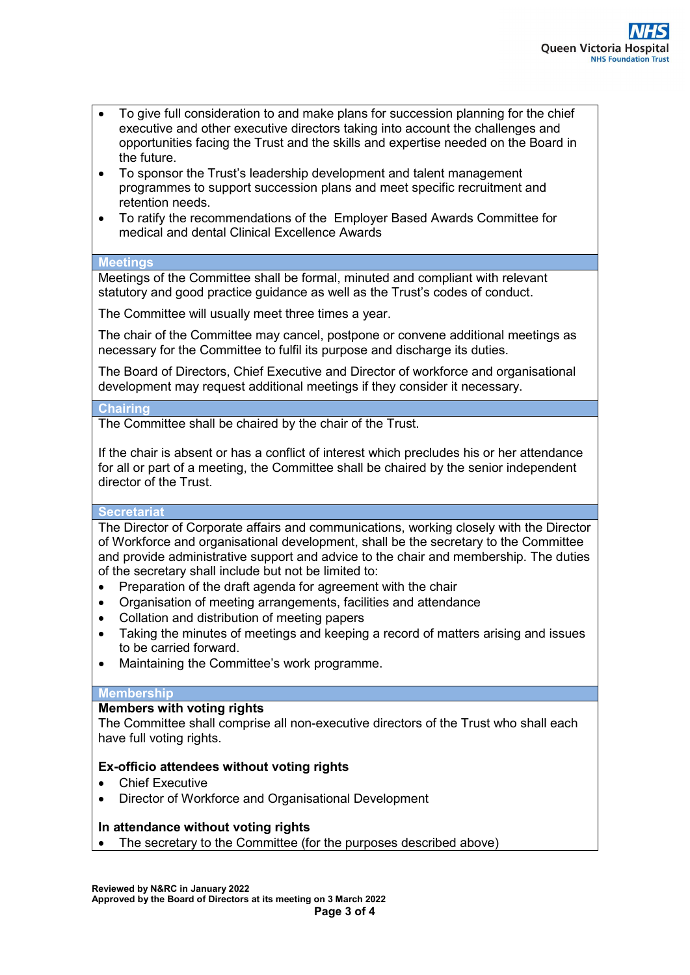- To give full consideration to and make plans for succession planning for the chief executive and other executive directors taking into account the challenges and opportunities facing the Trust and the skills and expertise needed on the Board in the future.
- To sponsor the Trust's leadership development and talent management programmes to support succession plans and meet specific recruitment and retention needs.
- To ratify the recommendations of the Employer Based Awards Committee for medical and dental Clinical Excellence Awards

# **Meetings**

Meetings of the Committee shall be formal, minuted and compliant with relevant statutory and good practice guidance as well as the Trust's codes of conduct.

The Committee will usually meet three times a year.

The chair of the Committee may cancel, postpone or convene additional meetings as necessary for the Committee to fulfil its purpose and discharge its duties.

The Board of Directors, Chief Executive and Director of workforce and organisational development may request additional meetings if they consider it necessary.

# **Chairing**

The Committee shall be chaired by the chair of the Trust.

If the chair is absent or has a conflict of interest which precludes his or her attendance for all or part of a meeting, the Committee shall be chaired by the senior independent director of the Trust.

# **Secretariat**

The Director of Corporate affairs and communications, working closely with the Director of Workforce and organisational development, shall be the secretary to the Committee and provide administrative support and advice to the chair and membership. The duties of the secretary shall include but not be limited to:

- Preparation of the draft agenda for agreement with the chair
- Organisation of meeting arrangements, facilities and attendance
- Collation and distribution of meeting papers
- Taking the minutes of meetings and keeping a record of matters arising and issues to be carried forward.
- Maintaining the Committee's work programme.

# **Membership**

# **Members with voting rights**

The Committee shall comprise all non-executive directors of the Trust who shall each have full voting rights.

# **Ex-officio attendees without voting rights**

- Chief Executive
- Director of Workforce and Organisational Development

# **In attendance without voting rights**

The secretary to the Committee (for the purposes described above)